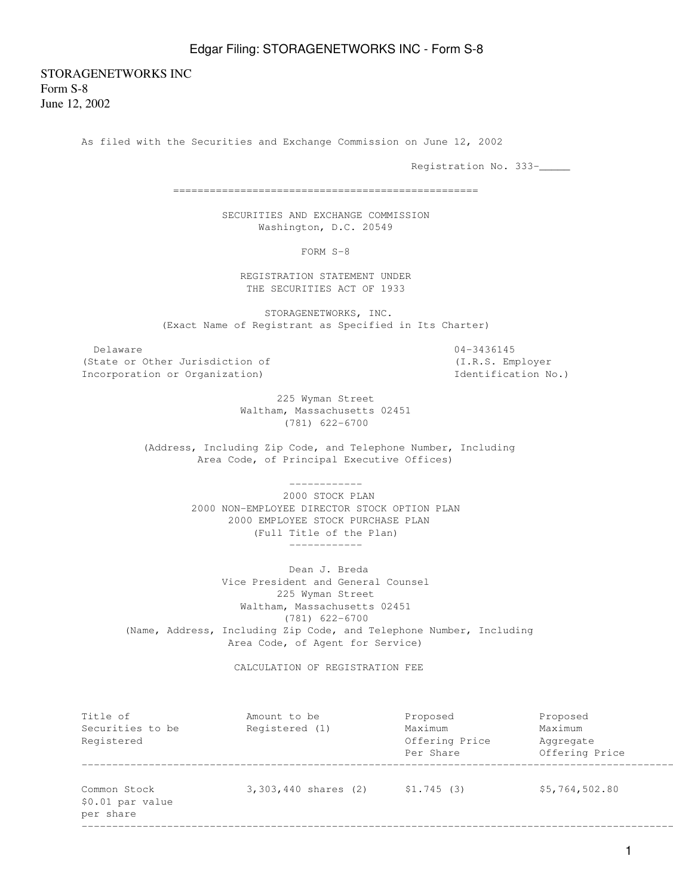## Edgar Filing: STORAGENETWORKS INC - Form S-8

STORAGENETWORKS INC Form S-8 June 12, 2002

As filed with the Securities and Exchange Commission on June 12, 2002

Registration No. 333-\_\_\_\_\_

==================================================

 SECURITIES AND EXCHANGE COMMISSION Washington, D.C. 20549

FORM S-8

 REGISTRATION STATEMENT UNDER THE SECURITIES ACT OF 1933

 STORAGENETWORKS, INC. (Exact Name of Registrant as Specified in Its Charter)

Delaware 04-3436145 (State or Other Jurisdiction of (I.R.S. Employer Incorporation or Organization) Identification No.)

 225 Wyman Street Waltham, Massachusetts 02451 (781) 622-6700

 (Address, Including Zip Code, and Telephone Number, Including Area Code, of Principal Executive Offices)

------------

 2000 STOCK PLAN 2000 NON-EMPLOYEE DIRECTOR STOCK OPTION PLAN 2000 EMPLOYEE STOCK PURCHASE PLAN (Full Title of the Plan) ------------

 Dean J. Breda Vice President and General Counsel 225 Wyman Street Waltham, Massachusetts 02451 (781) 622-6700 (Name, Address, Including Zip Code, and Telephone Number, Including Area Code, of Agent for Service)

CALCULATION OF REGISTRATION FEE

| Title of<br>Securities to be<br>Registered | Amount to be<br>Registered (1) | Proposed<br>Maximum<br>Offering Price<br>Per Share | Proposed<br>Maximum<br>Aggregate<br>Offering Price |
|--------------------------------------------|--------------------------------|----------------------------------------------------|----------------------------------------------------|
|                                            |                                |                                                    |                                                    |
|                                            |                                |                                                    |                                                    |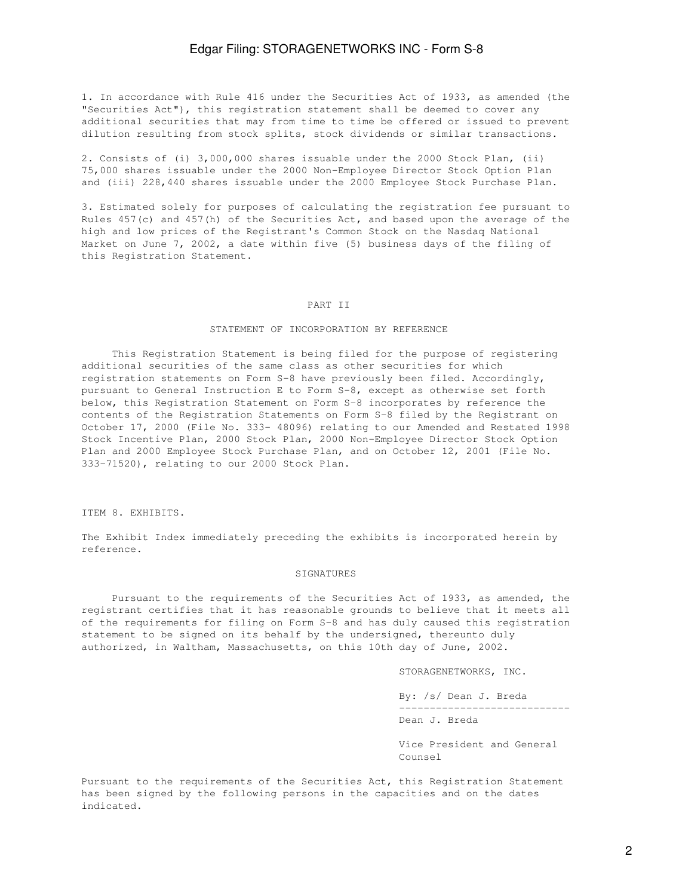1. In accordance with Rule 416 under the Securities Act of 1933, as amended (the "Securities Act"), this registration statement shall be deemed to cover any additional securities that may from time to time be offered or issued to prevent dilution resulting from stock splits, stock dividends or similar transactions.

2. Consists of (i) 3,000,000 shares issuable under the 2000 Stock Plan, (ii) 75,000 shares issuable under the 2000 Non-Employee Director Stock Option Plan and (iii) 228,440 shares issuable under the 2000 Employee Stock Purchase Plan.

3. Estimated solely for purposes of calculating the registration fee pursuant to Rules 457(c) and 457(h) of the Securities Act, and based upon the average of the high and low prices of the Registrant's Common Stock on the Nasdaq National Market on June 7, 2002, a date within five (5) business days of the filing of this Registration Statement.

#### PART II

#### STATEMENT OF INCORPORATION BY REFERENCE

 This Registration Statement is being filed for the purpose of registering additional securities of the same class as other securities for which registration statements on Form S-8 have previously been filed. Accordingly, pursuant to General Instruction E to Form S-8, except as otherwise set forth below, this Registration Statement on Form S-8 incorporates by reference the contents of the Registration Statements on Form S-8 filed by the Registrant on October 17, 2000 (File No. 333- 48096) relating to our Amended and Restated 1998 Stock Incentive Plan, 2000 Stock Plan, 2000 Non-Employee Director Stock Option Plan and 2000 Employee Stock Purchase Plan, and on October 12, 2001 (File No. 333-71520), relating to our 2000 Stock Plan.

ITEM 8. EXHIBITS.

The Exhibit Index immediately preceding the exhibits is incorporated herein by reference.

#### SIGNATURES

 Pursuant to the requirements of the Securities Act of 1933, as amended, the registrant certifies that it has reasonable grounds to believe that it meets all of the requirements for filing on Form S-8 and has duly caused this registration statement to be signed on its behalf by the undersigned, thereunto duly authorized, in Waltham, Massachusetts, on this 10th day of June, 2002.

STORAGENETWORKS, INC.

 By: /s/ Dean J. Breda ----------------------------

Dean J. Breda

 Vice President and General Counsel

Pursuant to the requirements of the Securities Act, this Registration Statement has been signed by the following persons in the capacities and on the dates indicated.